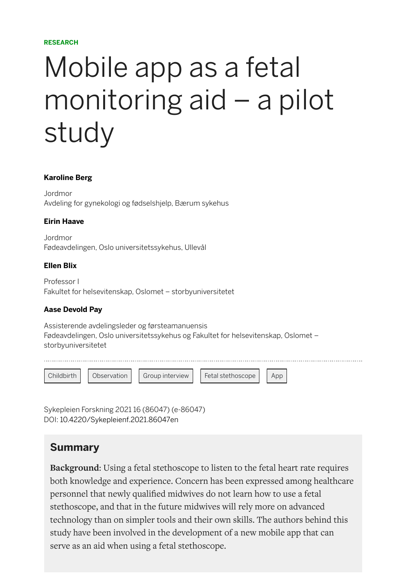#### **RESEARCH**

# Mobile app as a fetal monitoring aid – a pilot study

#### **[Karoline Berg](https://sykepleien.no/profil/karoline-berg)**

Jordmor Avdeling for gynekologi og fødselshjelp, Bærum sykehus

#### **[Eirin Haave](https://sykepleien.no/profil/eirin-haave)**

Jordmor Fødeavdelingen, Oslo universitetssykehus, Ullevål

#### **[Ellen Blix](https://sykepleien.no/profil/ellen-blix)**

Professor I Fakultet for helsevitenskap, Oslomet – storbyuniversitetet

#### **[Aase Devold Pay](https://sykepleien.no/profil/aase-devold-pay)**

Assisterende avdelingsleder og førsteamanuensis Fødeavdelingen, Oslo universitetssykehus og Fakultet for helsevitenskap, Oslomet – storbyuniversitetet

| Childbirth | Observation | <b>Group interview</b> | Fetal stethoscope | App |  |
|------------|-------------|------------------------|-------------------|-----|--|

Sykepleien Forskning 2021 16 (86047) (e-86047) DOI: [10.4220/Sykepleienf.2021.86047en](https://doi.org/10.4220/Sykepleienf.2021.86047en)

### **Summary**

**Background**: Using a fetal stethoscope to listen to the fetal heart rate requires both knowledge and experience. Concern has been expressed among healthcare personnel that newly qualified midwives do not learn how to use a fetal stethoscope, and that in the future midwives will rely more on advanced technology than on simpler tools and their own skills. The authors behind this study have been involved in the development of a new mobile app that can serve as an aid when using a fetal stethoscope.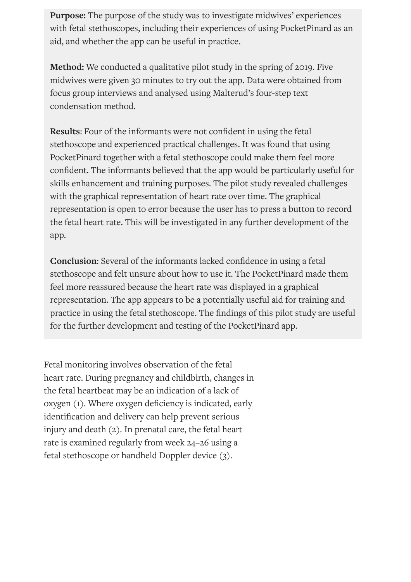**Purpose:** The purpose of the study was to investigate midwives' experiences with fetal stethoscopes, including their experiences of using PocketPinard as an aid, and whether the app can be useful in practice.

**Method:** We conducted a qualitative pilot study in the spring of 2019. Five midwives were given 30 minutes to try out the app. Data were obtained from focus group interviews and analysed using Malterud's four-step text condensation method.

**Results:** Four of the informants were not confident in using the fetal stethoscope and experienced practical challenges. It was found that using PocketPinard together with a fetal stethoscope could make them feel more confident. The informants believed that the app would be particularly useful for skills enhancement and training purposes. The pilot study revealed challenges with the graphical representation of heart rate over time. The graphical representation is open to error because the user has to press a button to record the fetal heart rate. This will be investigated in any further development of the app.

**Conclusion:** Several of the informants lacked confidence in using a fetal stethoscope and felt unsure about how to use it. The PocketPinard made them feel more reassured because the heart rate was displayed in a graphical representation. The app appears to be a potentially useful aid for training and practice in using the fetal stethoscope. The findings of this pilot study are useful for the further development and testing of the PocketPinard app.

Fetal monitoring involves observation of the fetal heart rate. During pregnancy and childbirth, changes in the fetal heartbeat may be an indication of a lack of oxygen (1). Where oxygen deficiency is indicated, early identification and delivery can help prevent serious injury and death (2). In prenatal care, the fetal heart rate is examined regularly from week 24–26 using a fetal stethoscope or handheld Doppler device (3).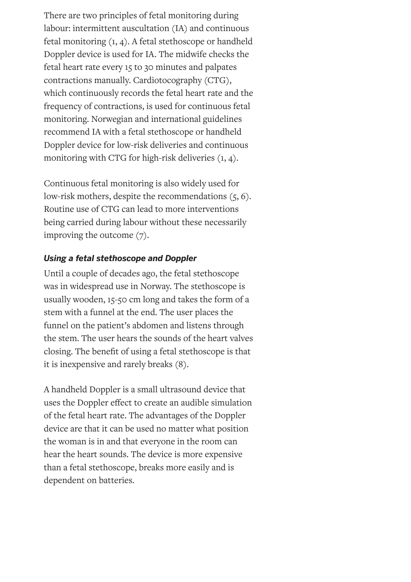There are two principles of fetal monitoring during labour: intermittent auscultation (IA) and continuous fetal monitoring (1, 4). A fetal stethoscope or handheld Doppler device is used for IA. The midwife checks the fetal heart rate every 15 to 30 minutes and palpates contractions manually. Cardiotocography (CTG), which continuously records the fetal heart rate and the frequency of contractions, is used for continuous fetal monitoring. Norwegian and international guidelines recommend IA with a fetal stethoscope or handheld Doppler device for low-risk deliveries and continuous monitoring with CTG for high-risk deliveries (1, 4).

Continuous fetal monitoring is also widely used for low-risk mothers, despite the recommendations (5, 6). Routine use of CTG can lead to more interventions being carried during labour without these necessarily improving the outcome (7).

#### *Using a fetal stethoscope and Doppler*

Until a couple of decades ago, the fetal stethoscope was in widespread use in Norway. The stethoscope is usually wooden, 15-50 cm long and takes the form of a stem with a funnel at the end. The user places the funnel on the patient's abdomen and listens through the stem. The user hears the sounds of the heart valves closing. The benefit of using a fetal stethoscope is that it is inexpensive and rarely breaks (8).

A handheld Doppler is a small ultrasound device that uses the Doppler effect to create an audible simulation of the fetal heart rate. The advantages of the Doppler device are that it can be used no matter what position the woman is in and that everyone in the room can hear the heart sounds. The device is more expensive than a fetal stethoscope, breaks more easily and is dependent on batteries.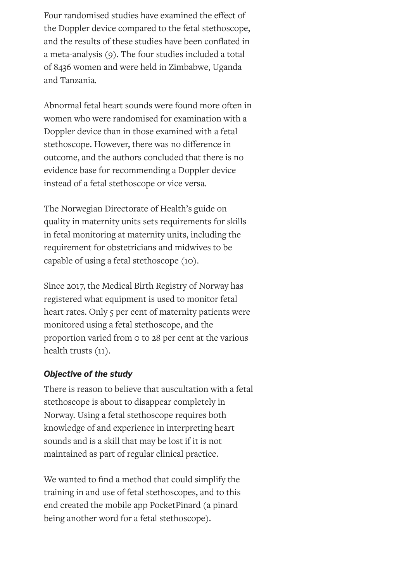Four randomised studies have examined the effect of the Doppler device compared to the fetal stethoscope, and the results of these studies have been conflated in a meta-analysis (9). The four studies included a total of 8436 women and were held in Zimbabwe, Uganda and Tanzania.

Abnormal fetal heart sounds were found more often in women who were randomised for examination with a Doppler device than in those examined with a fetal stethoscope. However, there was no difference in outcome, and the authors concluded that there is no evidence base for recommending a Doppler device instead of a fetal stethoscope or vice versa.

The Norwegian Directorate of Health's guide on quality in maternity units sets requirements for skills in fetal monitoring at maternity units, including the requirement for obstetricians and midwives to be capable of using a fetal stethoscope (10).

Since 2017, the Medical Birth Registry of Norway has registered what equipment is used to monitor fetal heart rates. Only 5 per cent of maternity patients were monitored using a fetal stethoscope, and the proportion varied from 0 to 28 per cent at the various health trusts (11).

#### *Objective of the study*

There is reason to believe that auscultation with a fetal stethoscope is about to disappear completely in Norway. Using a fetal stethoscope requires both knowledge of and experience in interpreting heart sounds and is a skill that may be lost if it is not maintained as part of regular clinical practice.

We wanted to find a method that could simplify the training in and use of fetal stethoscopes, and to this end created the mobile app PocketPinard (a pinard being another word for a fetal stethoscope).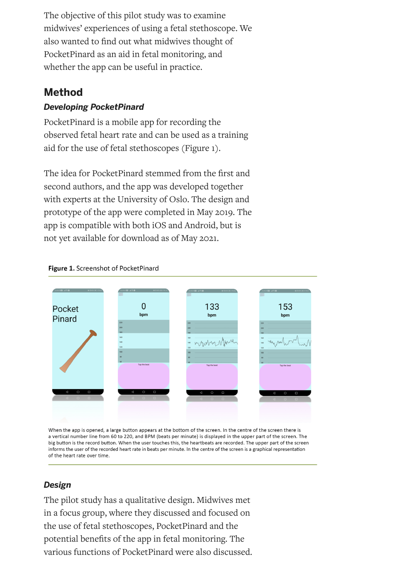The objective of this pilot study was to examine midwives' experiences of using a fetal stethoscope. We also wanted to find out what midwives thought of PocketPinard as an aid in fetal monitoring, and whether the app can be useful in practice.

## **Method**

#### *Developing PocketPinard*

PocketPinard is a mobile app for recording the observed fetal heart rate and can be used as a training aid for the use of fetal stethoscopes (Figure 1).

The idea for PocketPinard stemmed from the first and second authors, and the app was developed together with experts at the University of Oslo. The design and prototype of the app were completed in May 2019. The app is compatible with both iOS and Android, but is not yet available for download as of May 2021.



#### Figure 1. Screenshot of PocketPinard

When the app is opened, a large button appears at the bottom of the screen. In the centre of the screen there is a vertical number line from 60 to 220, and BPM (beats per minute) is displayed in the upper part of the screen. The big button is the record button. When the user touches this, the heartbeats are recorded. The upper part of the screen informs the user of the recorded heart rate in beats per minute. In the centre of the screen is a graphical representation of the heart rate over time.

#### *Design*

The pilot study has a qualitative design. Midwives met in a focus group, where they discussed and focused on the use of fetal stethoscopes, PocketPinard and the potential benefits of the app in fetal monitoring. The various functions of PocketPinard were also discussed.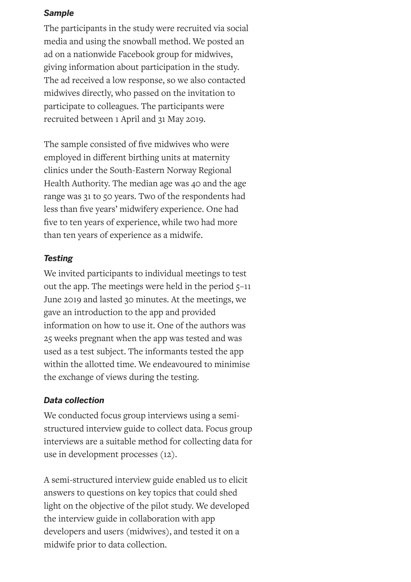#### *Sample*

The participants in the study were recruited via social media and using the snowball method. We posted an ad on a nationwide Facebook group for midwives, giving information about participation in the study. The ad received a low response, so we also contacted midwives directly, who passed on the invitation to participate to colleagues. The participants were recruited between 1 April and 31 May 2019.

The sample consisted of five midwives who were employed in different birthing units at maternity clinics under the South-Eastern Norway Regional Health Authority. The median age was 40 and the age range was 31 to 50 years. Two of the respondents had less than five years' midwifery experience. One had five to ten years of experience, while two had more than ten years of experience as a midwife.

#### *Testing*

We invited participants to individual meetings to test out the app. The meetings were held in the period 5–11 June 2019 and lasted 30 minutes. At the meetings, we gave an introduction to the app and provided information on how to use it. One of the authors was 25 weeks pregnant when the app was tested and was used as a test subject. The informants tested the app within the allotted time. We endeavoured to minimise the exchange of views during the testing.

#### *Data collection*

We conducted focus group interviews using a semistructured interview guide to collect data. Focus group interviews are a suitable method for collecting data for use in development processes (12).

A semi-structured interview guide enabled us to elicit answers to questions on key topics that could shed light on the objective of the pilot study. We developed the interview guide in collaboration with app developers and users (midwives), and tested it on a midwife prior to data collection.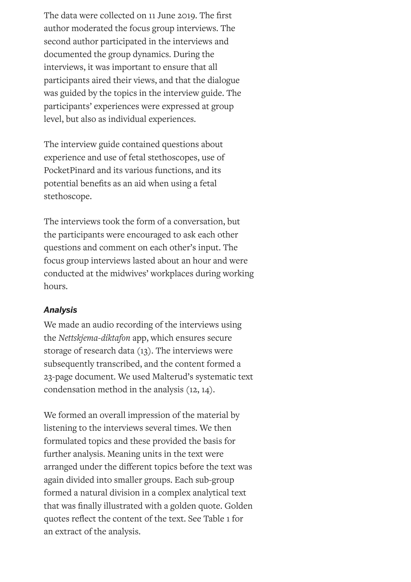The data were collected on 11 June 2019. The first author moderated the focus group interviews. The second author participated in the interviews and documented the group dynamics. During the interviews, it was important to ensure that all participants aired their views, and that the dialogue was guided by the topics in the interview guide. The participants' experiences were expressed at group level, but also as individual experiences.

The interview guide contained questions about experience and use of fetal stethoscopes, use of PocketPinard and its various functions, and its potential benefits as an aid when using a fetal stethoscope.

The interviews took the form of a conversation, but the participants were encouraged to ask each other questions and comment on each other's input. The focus group interviews lasted about an hour and were conducted at the midwives' workplaces during working hours.

#### *Analysis*

We made an audio recording of the interviews using the *Nettskjema-diktafon* app, which ensures secure storage of research data (13). The interviews were subsequently transcribed, and the content formed a 23-page document. We used Malterud's systematic text condensation method in the analysis (12, 14).

We formed an overall impression of the material by listening to the interviews several times. We then formulated topics and these provided the basis for further analysis. Meaning units in the text were arranged under the different topics before the text was again divided into smaller groups. Each sub-group formed a natural division in a complex analytical text that was finally illustrated with a golden quote. Golden quotes reflect the content of the text. See Table 1 for an extract of the analysis.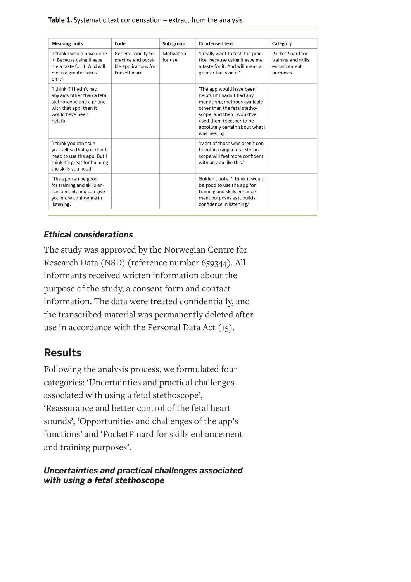Table 1. Systematic text condensation - extract from the analysis

| <b>Meaning units</b>                                                                                                                         | Code                                                                               | Sub-group             | <b>Condensed text</b>                                                                                                                                                                                                                 | Category                                                           |
|----------------------------------------------------------------------------------------------------------------------------------------------|------------------------------------------------------------------------------------|-----------------------|---------------------------------------------------------------------------------------------------------------------------------------------------------------------------------------------------------------------------------------|--------------------------------------------------------------------|
| 'I think I would have done<br>it. Because using it gave<br>me a taste for it. And will<br>mean a greater focus<br>on it.'                    | Generalisability to<br>practice and possi-<br>ble applications for<br>PocketPinard | Motivation<br>for use | 'I really want to test it in prac-<br>tice, because using it gave me<br>a taste for it. And will mean a<br>greater focus on it.'                                                                                                      | PocketPinard for<br>training and skills<br>enhancement<br>purposes |
| 'I think if I hadn't had<br>any aids other than a fetal<br>stethoscope and a phone<br>with that app, then it<br>would have been<br>helpful.' |                                                                                    |                       | 'The app would have been<br>helpful if I hadn't had any<br>monitoring methods available<br>other than the fetal stetho-<br>scope, and then I would've<br>used them together to be<br>absolutely certain about what I<br>was hearing.' |                                                                    |
| 'I think you can train<br>yourself so that you don't<br>need to use the app. But I<br>think it's great for building<br>the skills you need.' |                                                                                    |                       | 'Most of those who aren't con-<br>fident in using a fetal stetho-<br>scope will feel more confident<br>with an app like this.'                                                                                                        |                                                                    |
| 'The app can be good<br>for training and skills en-<br>hancement, and can give<br>vou more confidence in<br>listening.'                      |                                                                                    |                       | Golden quote: 'I think it would<br>be good to use the app for<br>training and skills enhance-<br>ment purposes as it builds<br>confidence in listening.'                                                                              |                                                                    |

#### *Ethical considerations*

The study was approved by the Norwegian Centre for Research Data (NSD) (reference number 659344). All informants received written information about the purpose of the study, a consent form and contact information. The data were treated confidentially, and the transcribed material was permanently deleted after use in accordance with the Personal Data Act (15).

### **Results**

Following the analysis process, we formulated four categories: 'Uncertainties and practical challenges associated with using a fetal stethoscope', 'Reassurance and better control of the fetal heart sounds', 'Opportunities and challenges of the app's functions' and 'PocketPinard for skills enhancement and training purposes'.

#### *Uncertainties and practical challenges associated with using a fetal stethoscope*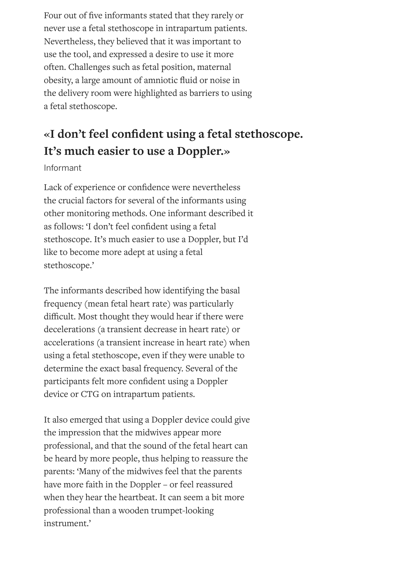Four out of five informants stated that they rarely or never use a fetal stethoscope in intrapartum patients. Nevertheless, they believed that it was important to use the tool, and expressed a desire to use it more often. Challenges such as fetal position, maternal obesity, a large amount of amniotic fluid or noise in the delivery room were highlighted as barriers to using a fetal stethoscope.

# **«I don't feel condent using a fetal stethoscope. It's much easier to use a Doppler.»**

Informant

Lack of experience or confidence were nevertheless the crucial factors for several of the informants using other monitoring methods. One informant described it as follows: 'I don't feel confident using a fetal stethoscope. It's much easier to use a Doppler, but I'd like to become more adept at using a fetal stethoscope.'

The informants described how identifying the basal frequency (mean fetal heart rate) was particularly difficult. Most thought they would hear if there were decelerations (a transient decrease in heart rate) or accelerations (a transient increase in heart rate) when using a fetal stethoscope, even if they were unable to determine the exact basal frequency. Several of the participants felt more confident using a Doppler device or CTG on intrapartum patients.

It also emerged that using a Doppler device could give the impression that the midwives appear more professional, and that the sound of the fetal heart can be heard by more people, thus helping to reassure the parents: 'Many of the midwives feel that the parents have more faith in the Doppler – or feel reassured when they hear the heartbeat. It can seem a bit more professional than a wooden trumpet-looking instrument.'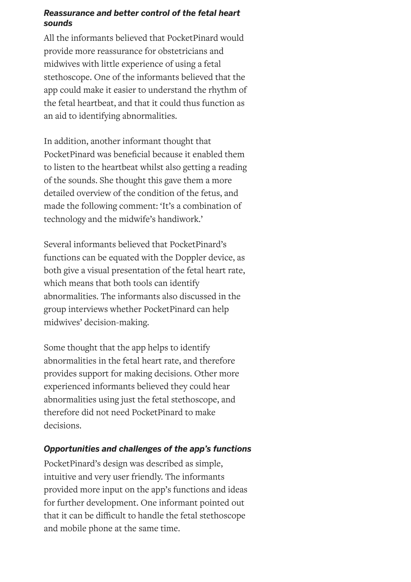#### *Reassurance and better control of the fetal heart sounds*

All the informants believed that PocketPinard would provide more reassurance for obstetricians and midwives with little experience of using a fetal stethoscope. One of the informants believed that the app could make it easier to understand the rhythm of the fetal heartbeat, and that it could thus function as an aid to identifying abnormalities.

In addition, another informant thought that PocketPinard was beneficial because it enabled them to listen to the heartbeat whilst also getting a reading of the sounds. She thought this gave them a more detailed overview of the condition of the fetus, and made the following comment: 'It's a combination of technology and the midwife's handiwork.'

Several informants believed that PocketPinard's functions can be equated with the Doppler device, as both give a visual presentation of the fetal heart rate, which means that both tools can identify abnormalities. The informants also discussed in the group interviews whether PocketPinard can help midwives' decision-making.

Some thought that the app helps to identify abnormalities in the fetal heart rate, and therefore provides support for making decisions. Other more experienced informants believed they could hear abnormalities using just the fetal stethoscope, and therefore did not need PocketPinard to make decisions.

#### *Opportunities and challenges of the app's functions*

PocketPinard's design was described as simple, intuitive and very user friendly. The informants provided more input on the app's functions and ideas for further development. One informant pointed out that it can be difficult to handle the fetal stethoscope and mobile phone at the same time.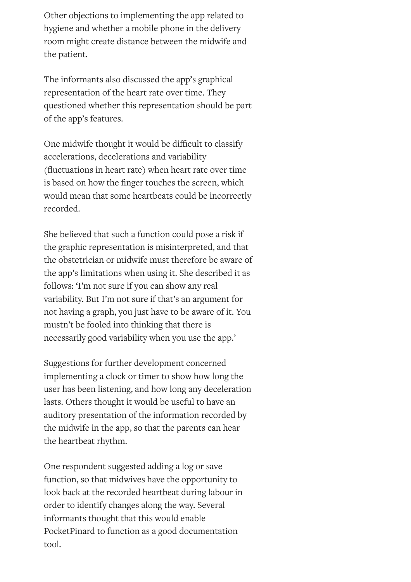Other objections to implementing the app related to hygiene and whether a mobile phone in the delivery room might create distance between the midwife and the patient.

The informants also discussed the app's graphical representation of the heart rate over time. They questioned whether this representation should be part of the app's features.

One midwife thought it would be difficult to classify accelerations, decelerations and variability (fluctuations in heart rate) when heart rate over time is based on how the finger touches the screen, which would mean that some heartbeats could be incorrectly recorded.

She believed that such a function could pose a risk if the graphic representation is misinterpreted, and that the obstetrician or midwife must therefore be aware of the app's limitations when using it. She described it as follows: 'I'm not sure if you can show any real variability. But I'm not sure if that's an argument for not having a graph, you just have to be aware of it. You mustn't be fooled into thinking that there is necessarily good variability when you use the app.'

Suggestions for further development concerned implementing a clock or timer to show how long the user has been listening, and how long any deceleration lasts. Others thought it would be useful to have an auditory presentation of the information recorded by the midwife in the app, so that the parents can hear the heartbeat rhythm.

One respondent suggested adding a log or save function, so that midwives have the opportunity to look back at the recorded heartbeat during labour in order to identify changes along the way. Several informants thought that this would enable PocketPinard to function as a good documentation tool.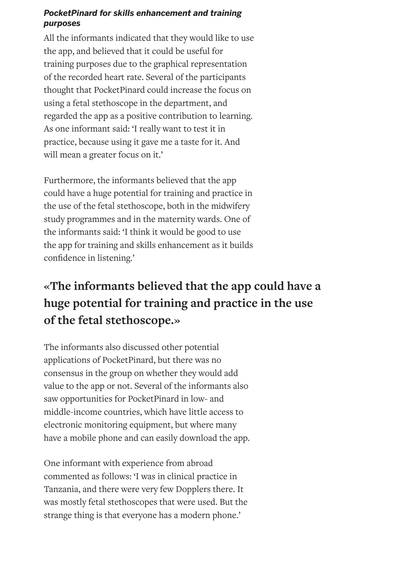#### *PocketPinard for skills enhancement and training purposes*

All the informants indicated that they would like to use the app, and believed that it could be useful for training purposes due to the graphical representation of the recorded heart rate. Several of the participants thought that PocketPinard could increase the focus on using a fetal stethoscope in the department, and regarded the app as a positive contribution to learning. As one informant said: 'I really want to test it in practice, because using it gave me a taste for it. And will mean a greater focus on it.'

Furthermore, the informants believed that the app could have a huge potential for training and practice in the use of the fetal stethoscope, both in the midwifery study programmes and in the maternity wards. One of the informants said: 'I think it would be good to use the app for training and skills enhancement as it builds confidence in listening.'

# **«The informants believed that the app could have a huge potential for training and practice in the use of the fetal stethoscope.»**

The informants also discussed other potential applications of PocketPinard, but there was no consensus in the group on whether they would add value to the app or not. Several of the informants also saw opportunities for PocketPinard in low- and middle-income countries, which have little access to electronic monitoring equipment, but where many have a mobile phone and can easily download the app.

One informant with experience from abroad commented as follows: 'I was in clinical practice in Tanzania, and there were very few Dopplers there. It was mostly fetal stethoscopes that were used. But the strange thing is that everyone has a modern phone.'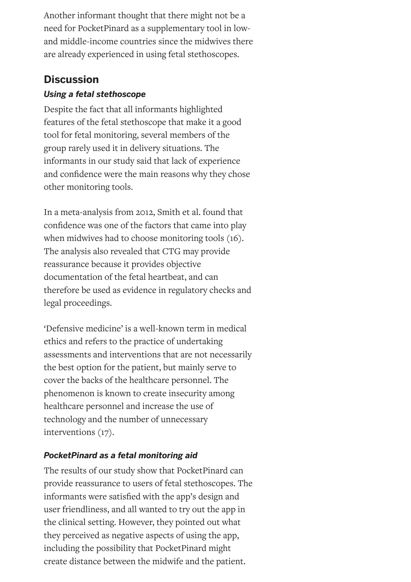Another informant thought that there might not be a need for PocketPinard as a supplementary tool in lowand middle-income countries since the midwives there are already experienced in using fetal stethoscopes.

# **Discussion**

### *Using a fetal stethoscope*

Despite the fact that all informants highlighted features of the fetal stethoscope that make it a good tool for fetal monitoring, several members of the group rarely used it in delivery situations. The informants in our study said that lack of experience and confidence were the main reasons why they chose other monitoring tools.

In a meta-analysis from 2012, Smith et al. found that confidence was one of the factors that came into play when midwives had to choose monitoring tools (16). The analysis also revealed that CTG may provide reassurance because it provides objective documentation of the fetal heartbeat, and can therefore be used as evidence in regulatory checks and legal proceedings.

'Defensive medicine' is a well-known term in medical ethics and refers to the practice of undertaking assessments and interventions that are not necessarily the best option for the patient, but mainly serve to cover the backs of the healthcare personnel. The phenomenon is known to create insecurity among healthcare personnel and increase the use of technology and the number of unnecessary interventions (17).

## *PocketPinard as a fetal monitoring aid*

The results of our study show that PocketPinard can provide reassurance to users of fetal stethoscopes. The informants were satisfied with the app's design and user friendliness, and all wanted to try out the app in the clinical setting. However, they pointed out what they perceived as negative aspects of using the app, including the possibility that PocketPinard might create distance between the midwife and the patient.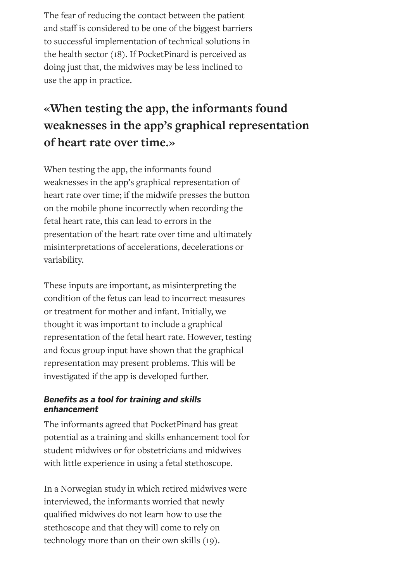The fear of reducing the contact between the patient and staff is considered to be one of the biggest barriers to successful implementation of technical solutions in the health sector (18). If PocketPinard is perceived as doing just that, the midwives may be less inclined to use the app in practice.

# **«When testing the app, the informants found weaknesses in the app's graphical representation of heart rate over time.»**

When testing the app, the informants found weaknesses in the app's graphical representation of heart rate over time; if the midwife presses the button on the mobile phone incorrectly when recording the fetal heart rate, this can lead to errors in the presentation of the heart rate over time and ultimately misinterpretations of accelerations, decelerations or variability.

These inputs are important, as misinterpreting the condition of the fetus can lead to incorrect measures or treatment for mother and infant. Initially, we thought it was important to include a graphical representation of the fetal heart rate. However, testing and focus group input have shown that the graphical representation may present problems. This will be investigated if the app is developed further.

#### **Benefits as a tool for training and skills** *enhancement*

The informants agreed that PocketPinard has great potential as a training and skills enhancement tool for student midwives or for obstetricians and midwives with little experience in using a fetal stethoscope.

In a Norwegian study in which retired midwives were interviewed, the informants worried that newly qualified midwives do not learn how to use the stethoscope and that they will come to rely on technology more than on their own skills (19).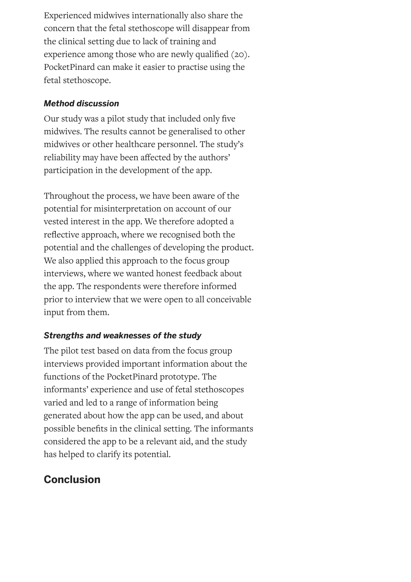Experienced midwives internationally also share the concern that the fetal stethoscope will disappear from the clinical setting due to lack of training and experience among those who are newly qualified (20). PocketPinard can make it easier to practise using the fetal stethoscope.

#### *Method discussion*

Our study was a pilot study that included only five midwives. The results cannot be generalised to other midwives or other healthcare personnel. The study's reliability may have been affected by the authors' participation in the development of the app.

Throughout the process, we have been aware of the potential for misinterpretation on account of our vested interest in the app. We therefore adopted a reflective approach, where we recognised both the potential and the challenges of developing the product. We also applied this approach to the focus group interviews, where we wanted honest feedback about the app. The respondents were therefore informed prior to interview that we were open to all conceivable input from them.

### *Strengths and weaknesses of the study*

The pilot test based on data from the focus group interviews provided important information about the functions of the PocketPinard prototype. The informants' experience and use of fetal stethoscopes varied and led to a range of information being generated about how the app can be used, and about possible benefits in the clinical setting. The informants considered the app to be a relevant aid, and the study has helped to clarify its potential.

# **Conclusion**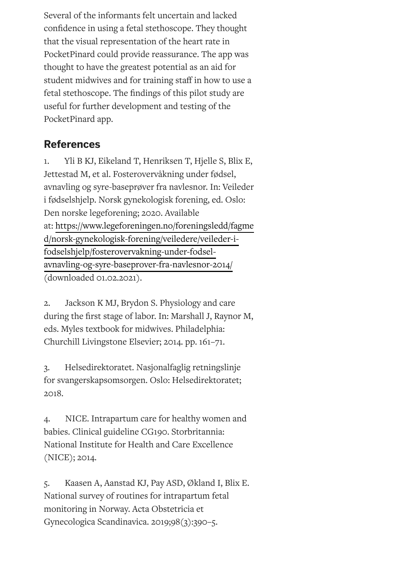Several of the informants felt uncertain and lacked confidence in using a fetal stethoscope. They thought that the visual representation of the heart rate in PocketPinard could provide reassurance. The app was thought to have the greatest potential as an aid for student midwives and for training staff in how to use a fetal stethoscope. The findings of this pilot study are useful for further development and testing of the PocketPinard app.

## **References**

1. Yli B KJ, Eikeland T, Henriksen T, Hjelle S, Blix E, Jettestad M, et al. Fosterovervåkning under fødsel, avnavling og syre-baseprøver fra navlesnor. In: Veileder i fødselshjelp. Norsk gynekologisk forening, ed. Oslo: Den norske legeforening; 2020. Available at: [https://www.legeforeningen.no/foreningsledd/fagme](https://www.legeforeningen.no/foreningsledd/fagmed/norsk-gynekologisk-forening/veiledere/veileder-i-fodselshjelp/fosterovervakning-under-fodsel-avnavling-og-syre-baseprover-fra-navlesnor-2014/) d/norsk-gynekologisk-forening/veiledere/veileder-ifodselshjelp/fosterovervakning-under-fodselavnavling-og-syre-baseprover-fra-navlesnor-2014/ (downloaded 01.02.2021).

2. Jackson K MJ, Brydon S. Physiology and care during the first stage of labor. In: Marshall J, Raynor M, eds. Myles textbook for midwives. Philadelphia: Churchill Livingstone Elsevier; 2014. pp. 161–71.

3. Helsedirektoratet. Nasjonalfaglig retningslinje for svangerskapsomsorgen. Oslo: Helsedirektoratet; 2018.

4. NICE. Intrapartum care for healthy women and babies. Clinical guideline CG190. Storbritannia: National Institute for Health and Care Excellence (NICE); 2014.

5. Kaasen A, Aanstad KJ, Pay ASD, Økland I, Blix E. National survey of routines for intrapartum fetal monitoring in Norway. Acta Obstetricia et Gynecologica Scandinavica. 2019;98(3):390–5.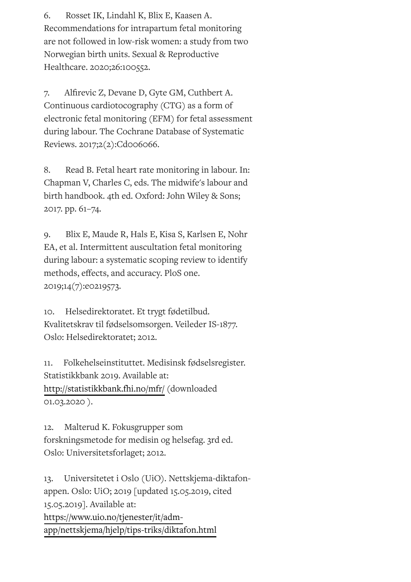6. Rosset IK, Lindahl K, Blix E, Kaasen A. Recommendations for intrapartum fetal monitoring are not followed in low-risk women: a study from two Norwegian birth units. Sexual & Reproductive Healthcare. 2020;26:100552.

7. Alfirevic Z, Devane D, Gyte GM, Cuthbert A. Continuous cardiotocography (CTG) as a form of electronic fetal monitoring (EFM) for fetal assessment during labour. The Cochrane Database of Systematic Reviews. 2017;2(2):Cd006066.

8. Read B. Fetal heart rate monitoring in labour. In: Chapman V, Charles C, eds. The midwife's labour and birth handbook. 4th ed. Oxford: John Wiley & Sons; 2017. pp. 61–74.

9. Blix E, Maude R, Hals E, Kisa S, Karlsen E, Nohr EA, et al. Intermittent auscultation fetal monitoring during labour: a systematic scoping review to identify methods, effects, and accuracy. PloS one. 2019;14(7):e0219573.

10. Helsedirektoratet. Et trygt fødetilbud. Kvalitetskrav til fødselsomsorgen. Veileder IS-1877. Oslo: Helsedirektoratet; 2012.

11. Folkehelseinstituttet. Medisinsk fødselsregister. Statistikkbank 2019. Available at: <http://statistikkbank.fhi.no/mfr/> (downloaded 01.03.2020 ).

12. Malterud K. Fokusgrupper som forskningsmetode for medisin og helsefag. 3rd ed. Oslo: Universitetsforlaget; 2012.

13. Universitetet i Oslo (UiO). Nettskjema-diktafonappen. Oslo: UiO; 2019 [updated 15.05.2019, cited 15.05.2019]. Available at: https://www.uio.no/tjenester/it/adm[app/nettskjema/hjelp/tips-triks/diktafon.html](https://www.uio.no/tjenester/it/adm-app/nettskjema/hjelp/tips-triks/diktafon.html)